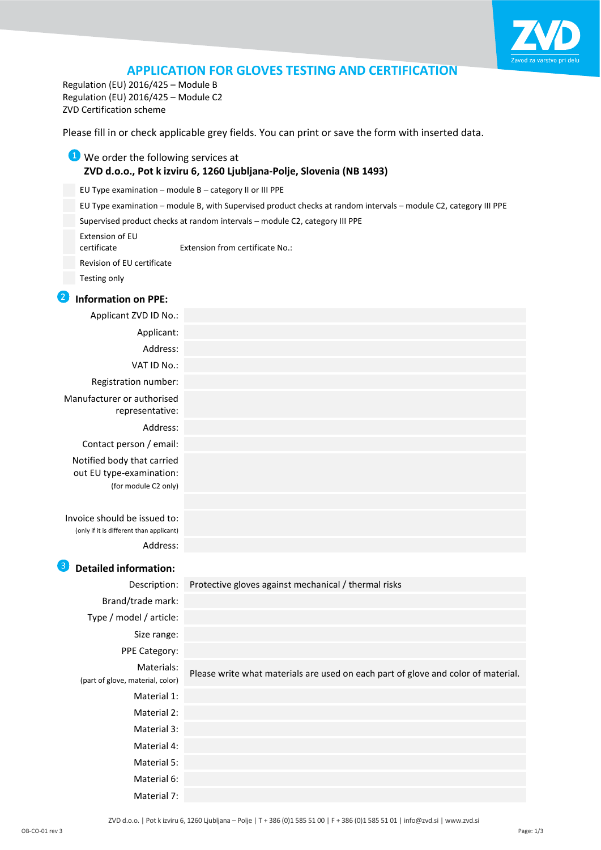

# **APPLICATION FOR GLOVES TESTING AND CERTIFICATION**

Regulation (EU) 2016/425 – Module B Regulation (EU) 2016/425 – Module C2 ZVD Certification scheme

Please fill in or check applicable grey fields. You can print or save the form with inserted data.

## **U** We order the following services at **ZVD d.o.o., Pot k izviru 6, 1260 Ljubljana-Polje, Slovenia (NB 1493)**

EU Type examination – module B – category II or III PPE

EU Type examination – module B, with Supervised product checks at random intervals – module C2, category III PPE

Supervised product checks at random intervals – module C2, category III PPE

Extension of EU

Extension from certificate No.:

Revision of EU certificate

Testing only

#### **Information on PPE:**

| Applicant ZVD ID No.:                                                          |  |
|--------------------------------------------------------------------------------|--|
| Applicant:                                                                     |  |
| Address:                                                                       |  |
| VAT ID No.:                                                                    |  |
| Registration number:                                                           |  |
| Manufacturer or authorised<br>representative:                                  |  |
| Address:                                                                       |  |
| Contact person / email:                                                        |  |
| Notified body that carried<br>out EU type-examination:<br>(for module C2 only) |  |
|                                                                                |  |
| Invoice should be issued to:<br>(only if it is different than applicant)       |  |
| Address:                                                                       |  |

# **B** Detailed information:

| Description:                                   | Protective gloves against mechanical / thermal risks                              |
|------------------------------------------------|-----------------------------------------------------------------------------------|
| Brand/trade mark:                              |                                                                                   |
| Type / model / article:                        |                                                                                   |
| Size range:                                    |                                                                                   |
| <b>PPE Category:</b>                           |                                                                                   |
| Materials:<br>(part of glove, material, color) | Please write what materials are used on each part of glove and color of material. |
| Material 1:                                    |                                                                                   |
| Material 2:                                    |                                                                                   |
| Material 3:                                    |                                                                                   |
| Material 4:                                    |                                                                                   |
| Material 5:                                    |                                                                                   |
| Material 6:                                    |                                                                                   |
| Material 7:                                    |                                                                                   |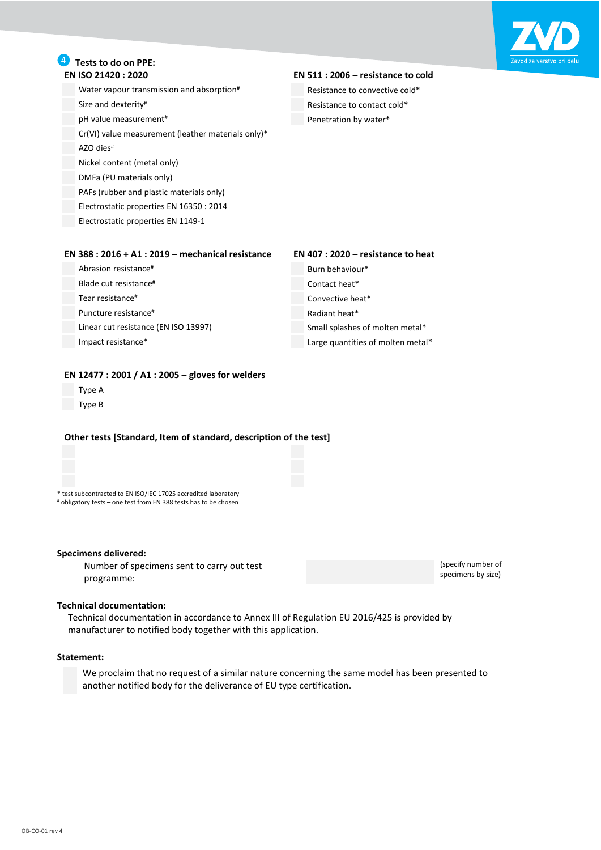

# **4** Tests to do on PPE:<br>**EN ISO 21420 : 2020**

Water vapour transmission and absorption<sup>#</sup> Resistance to convective cold\* Size and dexterity<sup>#</sup> and  $\overline{R}$  Resistance to contact cold\* pH value measurement<sup>#</sup>  $\blacksquare$  Penetration by water\* Cr(VI) value measurement (leather materials only)\* AZO dies# Nickel content (metal only) DMFa (PU materials only) PAFs (rubber and plastic materials only)

Electrostatic properties EN 16350 : 2014 Electrostatic properties EN 1149-1

#### **EN 511 : 2006 - resistance to cold**

#### **EN 388 : 2016 + A1 : 2019 – mechanical resistance EN 407 : 2020 – resistance to heat**

Abrasion resistance# Burn behaviour\* Blade cut resistance<sup>#</sup> Contact heat<sup>\*</sup> Tear resistance# Convective heat\* Puncture resistance#  $\blacksquare$  Radiant heat\*

Linear cut resistance (EN ISO 13997) Small splashes of molten metal\* Impact resistance\* Large quantities of molten metal\*

> (specify number of specimens by size)

#### **EN 12477 : 2001 / A1 : 2005 – gloves for welders**

- Type A
- Type B

#### **Other tests [Standard, Item of standard, description of the test]**

\* test subcontracted to EN ISO/IEC 17025 accredited laboratory

# obligatory tests – one test from EN 388 tests has to be chosen

#### **Specimens delivered:**

Number of specimens sent to carry out test programme:

#### **Technical documentation:**

Technical documentation in accordance to Annex III of Regulation EU 2016/425 is provided by manufacturer to notified body together with this application.

#### **Statement:**

We proclaim that no request of a similar nature concerning the same model has been presented to another notified body for the deliverance of EU type certification.